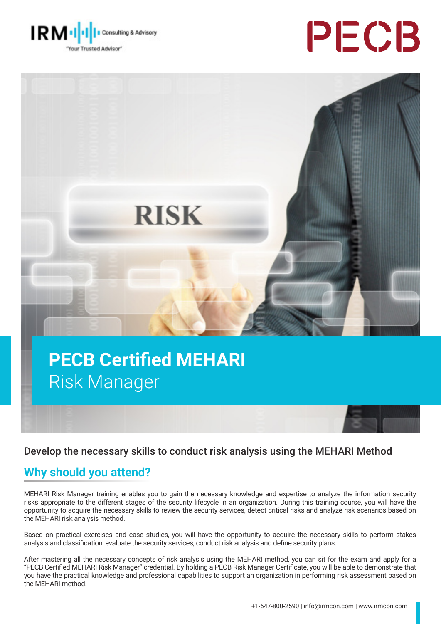





# **PECB Certified MEHARI**  Risk Manager

#### Develop the necessary skills to conduct risk analysis using the MEHARI Method

#### **Why should you attend?**

MEHARI Risk Manager training enables you to gain the necessary knowledge and expertise to analyze the information security risks appropriate to the different stages of the security lifecycle in an organization. During this training course, you will have the opportunity to acquire the necessary skills to review the security services, detect critical risks and analyze risk scenarios based on the MEHARI risk analysis method.

Based on practical exercises and case studies, you will have the opportunity to acquire the necessary skills to perform stakes analysis and classification, evaluate the security services, conduct risk analysis and define security plans.

After mastering all the necessary concepts of risk analysis using the MEHARI method, you can sit for the exam and apply for a "PECB Certified MEHARI Risk Manager" credential. By holding a PECB Risk Manager Certificate, you will be able to demonstrate that you have the practical knowledge and professional capabilities to support an organization in performing risk assessment based on the MEHARI method.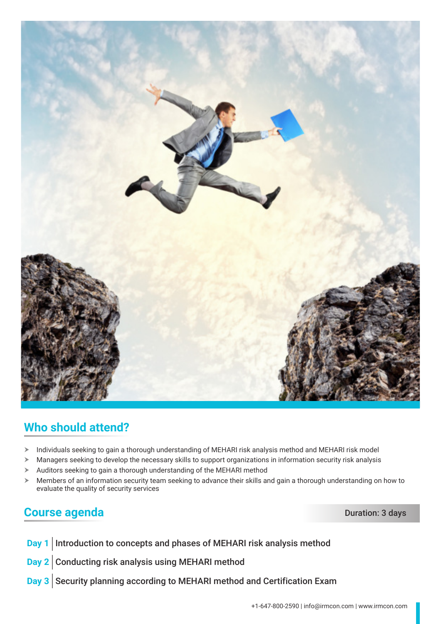

### **Who should attend?**

- > Individuals seeking to gain a thorough understanding of MEHARI risk analysis method and MEHARI risk model
- $\triangleright$  Managers seeking to develop the necessary skills to support organizations in information security risk analysis
- $\blacktriangleright$  Auditors seeking to gain a thorough understanding of the MEHARI method
- $\triangleright$  Members of an information security team seeking to advance their skills and gain a thorough understanding on how to evaluate the quality of security services

#### **Course agenda** Duration: 3 days

- **Day 1** Introduction to concepts and phases of MEHARI risk analysis method
- **Day 2** Conducting risk analysis using MEHARI method
- **Day 3** Security planning according to MEHARI method and Certification Exam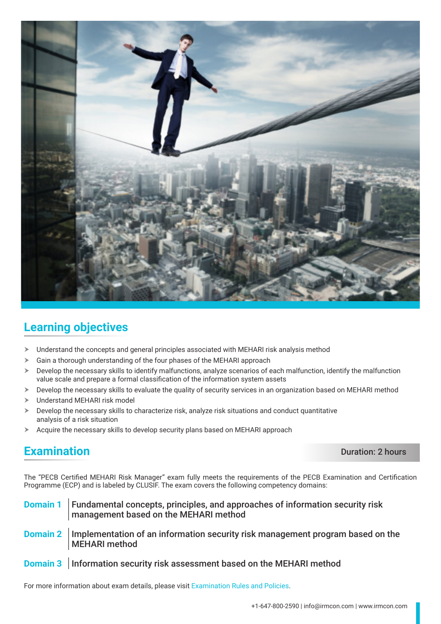

## **Learning objectives**

- $\triangleright$  Understand the concepts and general principles associated with MEHARI risk analysis method
- $\geq$  Gain a thorough understanding of the four phases of the MEHARI approach
- $\triangleright$  Develop the necessary skills to identify malfunctions, analyze scenarios of each malfunction, identify the malfunction value scale and prepare a formal classification of the information system assets
- > Develop the necessary skills to evaluate the quality of security services in an organization based on MEHARI method
- > Understand MEHARI risk model
- Develop the necessary skills to characterize risk, analyze risk situations and conduct quantitative analysis of a risk situation
- $\blacktriangleright$  Acquire the necessary skills to develop security plans based on MEHARI approach

#### **Examination** Duration: 2 hours

The "PECB Certified MEHARI Risk Manager" exam fully meets the requirements of the PECB Examination and Certification Programme (ECP) and is labeled by CLUSIF. The exam covers the following competency domains:

- **Domain 1** Fundamental concepts, principles, and approaches of information security risk management based on the MEHARI method
- **Domain 2** Implementation of an information security risk management program based on the MEHARI method
- **Domain 3** Information security risk assessment based on the MEHARI method

For more information about exam details, please visit [Examination Rules and Policies](https://pecb.com/en/examination-rules-and-policies).